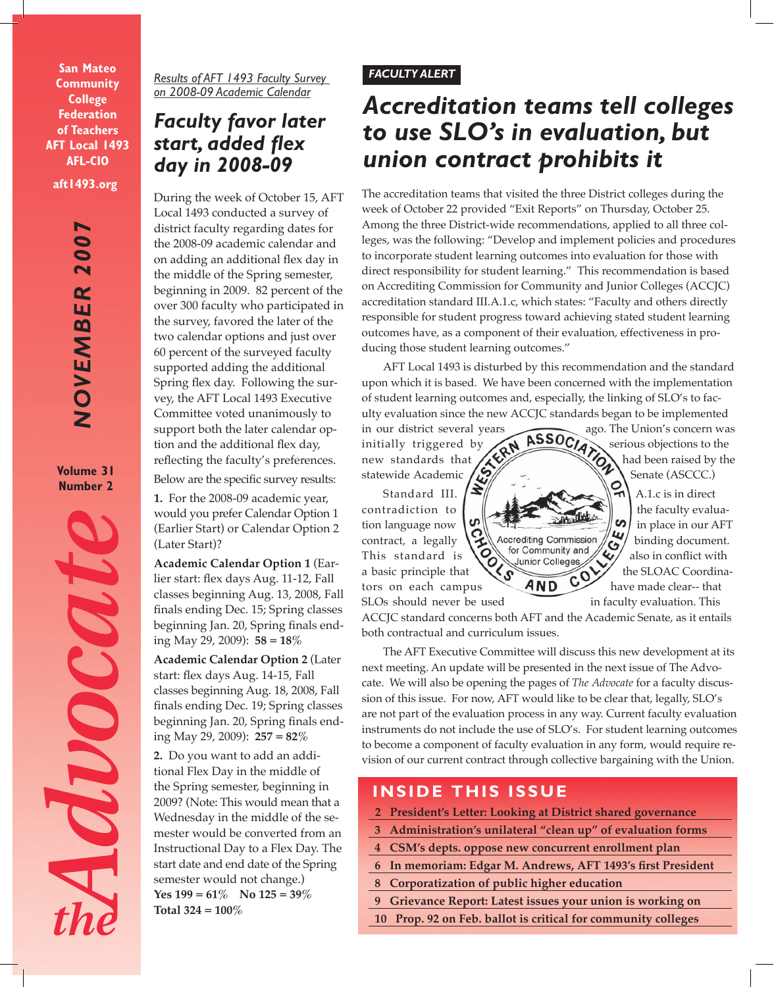**San Mateo Community College Federation of Teachers AFT Local 1493 AFL-CIO**

**aft1493.org**

*NOVEMBER 2007* **NOVEMBER 200** 

**Volume 31 Number 2**



*Results of AFT 1493 Faculty Survey on 2008-09 Academic Calendar*

# *Faculty favor later start, added flex day in 2008-09*

During the week of October 15, AFT Local 1493 conducted a survey of district faculty regarding dates for the 2008-09 academic calendar and on adding an additional flex day in the middle of the Spring semester, beginning in 2009. 82 percent of the over 300 faculty who participated in the survey, favored the later of the two calendar options and just over 60 percent of the surveyed faculty supported adding the additional Spring flex day. Following the survey, the AFT Local 1493 Executive Committee voted unanimously to support both the later calendar option and the additional flex day, reflecting the faculty's preferences. Below are the specific survey results:

**1.** For the 2008-09 academic year, would you prefer Calendar Option 1 (Earlier Start) or Calendar Option 2 (Later Start)?

**Academic Calendar Option 1** (Earlier start: flex days Aug. 11-12, Fall classes beginning Aug. 13, 2008, Fall finals ending Dec. 15; Spring classes beginning Jan. 20, Spring finals ending May 29, 2009): **58 = 18%**

**Academic Calendar Option 2** (Later start: flex days Aug. 14-15, Fall classes beginning Aug. 18, 2008, Fall finals ending Dec. 19; Spring classes beginning Jan. 20, Spring finals ending May 29, 2009): **257 = 82%**

**2.** Do you want to add an additional Flex Day in the middle of the Spring semester, beginning in 2009? (Note: This would mean that a Wednesday in the middle of the semester would be converted from an Instructional Day to a Flex Day. The start date and end date of the Spring semester would not change.) **Yes 199 = 61% No 125 = 39% Total 324 = 100%** 

# *FACULTY ALERT*

# *Accreditation teams tell colleges to use SLO's in evaluation, but union contract prohibits it*

The accreditation teams that visited the three District colleges during the week of October 22 provided "Exit Reports" on Thursday, October 25. Among the three District-wide recommendations, applied to all three colleges, was the following: "Develop and implement policies and procedures to incorporate student learning outcomes into evaluation for those with direct responsibility for student learning." This recommendation is based on Accrediting Commission for Community and Junior Colleges (ACCJC) accreditation standard III.A.1.c, which states: "Faculty and others directly responsible for student progress toward achieving stated student learning outcomes have, as a component of their evaluation, effectiveness in producing those student learning outcomes."

AFT Local 1493 is disturbed by this recommendation and the standard upon which it is based. We have been concerned with the implementation of student learning outcomes and, especially, the linking of SLO's to fac-

statewide Academic Standard III. contradiction to  $\omega$   $\sim$   $\omega$  the faculty evaluacontract, a legally  $\sum_{\text{for Community and}}$  binding document. This standard is  $\bigotimes_{\text{Union of College}}$  also in conflict with

ulty evaluation since the new ACCJC standards began to be implemented<br>in our district several years ago. The Union's concern was<br>initially triggered by  $\overbrace{ABSOCA}^{ASOCA}$  serious objections to the in our district several years ago. The Union's concern was initially triggered by  $\left\langle A \right\rangle$   $\left\langle A \right\rangle$  serious objections to the new standards that  $\sum_{\text{Standard III}}$  had been raised by the Senate (ASCCC.)

Standard III.  $|\mathbf{S}||$ tion language now  $\begin{bmatrix} 0 \\ 0 \end{bmatrix}$   $\begin{bmatrix} 0 \\ 1 \end{bmatrix}$  in place in our AFT a basic principle that  $\overline{A}$   $\overline{C}$  the SLOAC Coordina-

tors on each campus  $AND \rightarrow$  have made clear-- that SLOs should never be used in faculty evaluation. This

ACCJC standard concerns both AFT and the Academic Senate, as it entails both contractual and curriculum issues.

The AFT Executive Committee will discuss this new development at its next meeting. An update will be presented in the next issue of The Advocate. We will also be opening the pages of *The Advocate* for a faculty discussion of this issue. For now, AFT would like to be clear that, legally, SLO's are not part of the evaluation process in any way. Current faculty evaluation instruments do not include the use of SLO's. For student learning outcomes to become a component of faculty evaluation in any form, would require revision of our current contract through collective bargaining with the Union.

# **INSIDE THIS ISSUE**

- **2 President's Letter: Looking at District shared governance**
- **3 Administration's unilateral "clean up" of evaluation forms**
- **4 CSM's depts. oppose new concurrent enrollment plan**
- **6 In memoriam: Edgar M. Andrews, AFT 1493's first President**
- **8 Corporatization of public higher education**
- **9 Grievance Report: Latest issues your union is working on**
- **10 Prop. 92 on Feb. ballot is critical for community colleges**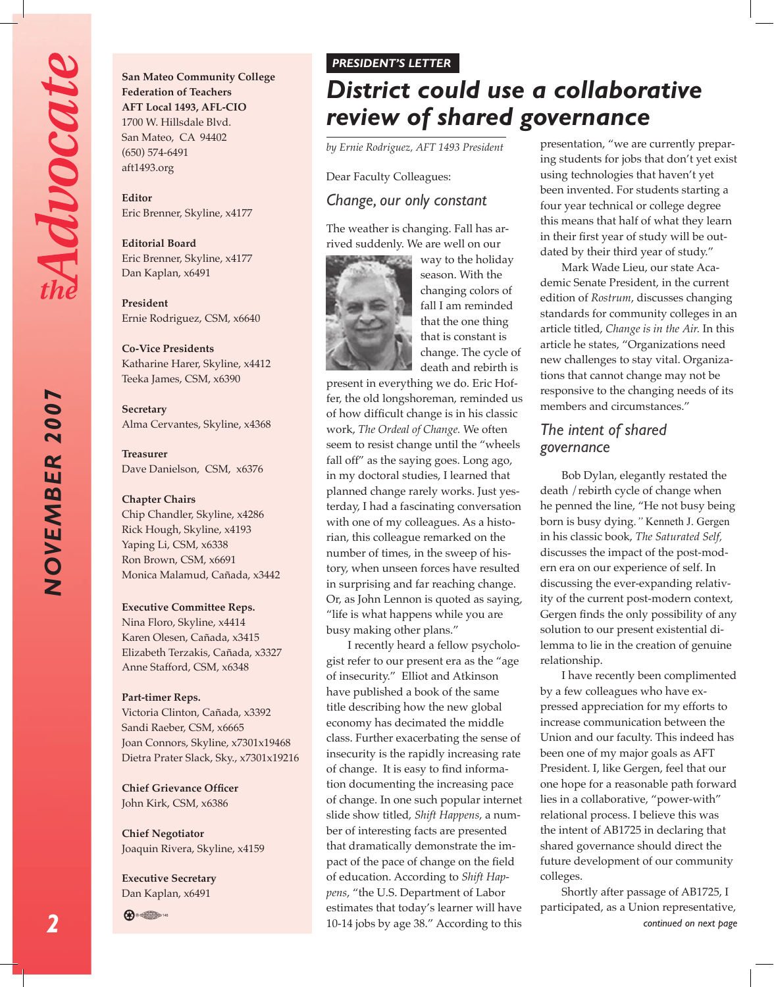NOVEMBER 2007

**San Mateo Community College Federation of Teachers AFT Local 1493, AFL-CIO** 1700 W. Hillsdale Blvd. San Mateo, CA 94402 (650) 574-6491 aft1493.org

**Editor**  Eric Brenner, Skyline, x4177

**Editorial Board** Eric Brenner, Skyline, x4177 Dan Kaplan, x6491

**President**  Ernie Rodriguez, CSM, x6640

**Co-Vice Presidents** Katharine Harer, Skyline, x4412 Teeka James, CSM, x6390

**Secretary** Alma Cervantes, Skyline, x4368

**Treasurer** Dave Danielson, CSM, x6376

#### **Chapter Chairs**

Chip Chandler, Skyline, x4286 Rick Hough, Skyline, x4193 Yaping Li, CSM, x6338 Ron Brown, CSM, x6691 Monica Malamud, Cañada, x3442

#### **Executive Committee Reps.**

Nina Floro, Skyline, x4414 Karen Olesen, Cañada, x3415 Elizabeth Terzakis, Cañada, x3327 Anne Stafford, CSM, x6348

#### **Part-timer Reps.**

Victoria Clinton, Cañada, x3392 Sandi Raeber, CSM, x6665 Joan Connors, Skyline, x7301x19468 Dietra Prater Slack, Sky., x7301x19216

**Chief Grievance Officer** John Kirk, CSM, x6386

**Chief Negotiator** Joaquin Rivera, Skyline, x4159

**Executive Secretary** Dan Kaplan, x6491



#### *PRESIDENT'S LETTER*

# *District could use a collaborative review of shared governance*

*by Ernie Rodriguez, AFT 1493 President*

Dear Faculty Colleagues:

#### *Change, our only constant*

The weather is changing. Fall has arrived suddenly. We are well on our



way to the holiday season. With the changing colors of fall I am reminded that the one thing that is constant is change. The cycle of death and rebirth is

present in everything we do. Eric Hoffer, the old longshoreman, reminded us of how difficult change is in his classic work, *The Ordeal of Change.* We often seem to resist change until the "wheels fall off" as the saying goes. Long ago, in my doctoral studies, I learned that planned change rarely works. Just yesterday, I had a fascinating conversation with one of my colleagues. As a historian, this colleague remarked on the number of times, in the sweep of history, when unseen forces have resulted in surprising and far reaching change. Or, as John Lennon is quoted as saying, "life is what happens while you are busy making other plans."

I recently heard a fellow psychologist refer to our present era as the "age of insecurity." Elliot and Atkinson have published a book of the same title describing how the new global economy has decimated the middle class. Further exacerbating the sense of insecurity is the rapidly increasing rate of change. It is easy to find information documenting the increasing pace of change. In one such popular internet slide show titled, *Shift Happens*, a number of interesting facts are presented that dramatically demonstrate the impact of the pace of change on the field of education. According to *Shift Happens*, "the U.S. Department of Labor estimates that today's learner will have 10-14 jobs by age 38." According to this

presentation, "we are currently preparing students for jobs that don't yet exist using technologies that haven't yet been invented. For students starting a four year technical or college degree this means that half of what they learn in their first year of study will be outdated by their third year of study."

Mark Wade Lieu, our state Academic Senate President, in the current edition of *Rostrum*, discusses changing standards for community colleges in an article titled, *Change is in the Air.* In this article he states, "Organizations need new challenges to stay vital. Organizations that cannot change may not be responsive to the changing needs of its members and circumstances."

## *The intent of shared governance*

Bob Dylan, elegantly restated the death /rebirth cycle of change when he penned the line, "He not busy being born is busy dying.*"* Kenneth J. Gergen in his classic book, *The Saturated Self,*  discusses the impact of the post-modern era on our experience of self. In discussing the ever-expanding relativity of the current post-modern context, Gergen finds the only possibility of any solution to our present existential dilemma to lie in the creation of genuine relationship.

I have recently been complimented by a few colleagues who have expressed appreciation for my efforts to increase communication between the Union and our faculty. This indeed has been one of my major goals as AFT President. I, like Gergen, feel that our one hope for a reasonable path forward lies in a collaborative, "power-with" relational process. I believe this was the intent of AB1725 in declaring that shared governance should direct the future development of our community colleges.

*continued on next page* Shortly after passage of AB1725, I participated, as a Union representative,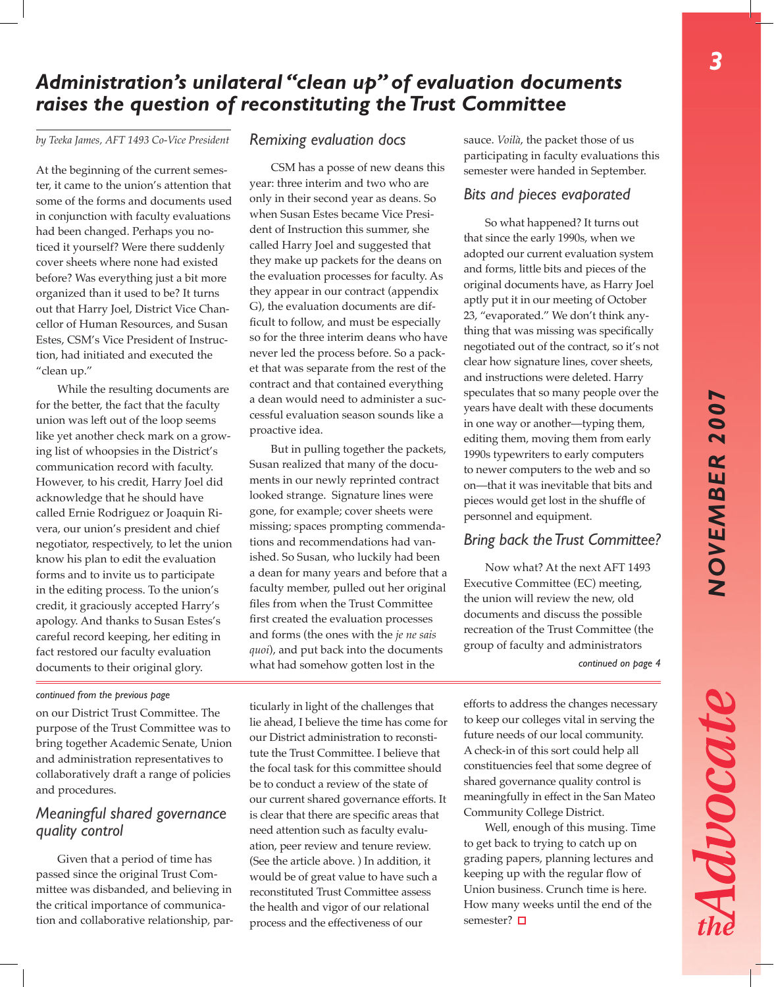Advocate

# *Administration's unilateral "clean up" of evaluation documents raises the question of reconstituting the Trust Committee*

*by Teeka James, AFT 1493 Co-Vice President*

At the beginning of the current semester, it came to the union's attention that some of the forms and documents used in conjunction with faculty evaluations had been changed. Perhaps you noticed it yourself? Were there suddenly cover sheets where none had existed before? Was everything just a bit more organized than it used to be? It turns out that Harry Joel, District Vice Chancellor of Human Resources, and Susan Estes, CSM's Vice President of Instruction, had initiated and executed the "clean up."

While the resulting documents are for the better, the fact that the faculty union was left out of the loop seems like yet another check mark on a growing list of whoopsies in the District's communication record with faculty. However, to his credit, Harry Joel did acknowledge that he should have called Ernie Rodriguez or Joaquin Rivera, our union's president and chief negotiator, respectively, to let the union know his plan to edit the evaluation forms and to invite us to participate in the editing process. To the union's credit, it graciously accepted Harry's apology. And thanks to Susan Estes's careful record keeping, her editing in fact restored our faculty evaluation documents to their original glory.

## *Remixing evaluation docs*

CSM has a posse of new deans this year: three interim and two who are only in their second year as deans. So when Susan Estes became Vice President of Instruction this summer, she called Harry Joel and suggested that they make up packets for the deans on the evaluation processes for faculty. As they appear in our contract (appendix G), the evaluation documents are difficult to follow, and must be especially so for the three interim deans who have never led the process before. So a packet that was separate from the rest of the contract and that contained everything a dean would need to administer a successful evaluation season sounds like a proactive idea.

But in pulling together the packets, Susan realized that many of the documents in our newly reprinted contract looked strange. Signature lines were gone, for example; cover sheets were missing; spaces prompting commendations and recommendations had vanished. So Susan, who luckily had been a dean for many years and before that a faculty member, pulled out her original files from when the Trust Committee first created the evaluation processes and forms (the ones with the *je ne sais quoi*), and put back into the documents what had somehow gotten lost in the

sauce. *Voilà*, the packet those of us participating in faculty evaluations this semester were handed in September.

#### *Bits and pieces evaporated*

So what happened? It turns out that since the early 1990s, when we adopted our current evaluation system and forms, little bits and pieces of the original documents have, as Harry Joel aptly put it in our meeting of October 23, "evaporated." We don't think anything that was missing was specifically negotiated out of the contract, so it's not clear how signature lines, cover sheets, and instructions were deleted. Harry speculates that so many people over the years have dealt with these documents in one way or another—typing them, editing them, moving them from early 1990s typewriters to early computers to newer computers to the web and so on—that it was inevitable that bits and pieces would get lost in the shuffle of personnel and equipment.

## *Bring back the Trust Committee?*

Now what? At the next AFT 1493 Executive Committee (EC) meeting, the union will review the new, old documents and discuss the possible recreation of the Trust Committee (the group of faculty and administrators

*continued on page 4*

#### *continued from the previous page*

on our District Trust Committee. The purpose of the Trust Committee was to bring together Academic Senate, Union and administration representatives to collaboratively draft a range of policies and procedures.

# *Meaningful shared governance quality control*

Given that a period of time has passed since the original Trust Committee was disbanded, and believing in the critical importance of communication and collaborative relationship, particularly in light of the challenges that lie ahead, I believe the time has come for our District administration to reconstitute the Trust Committee. I believe that the focal task for this committee should be to conduct a review of the state of our current shared governance efforts. It is clear that there are specific areas that need attention such as faculty evaluation, peer review and tenure review. (See the article above. ) In addition, it would be of great value to have such a reconstituted Trust Committee assess the health and vigor of our relational process and the effectiveness of our

efforts to address the changes necessary to keep our colleges vital in serving the future needs of our local community. A check-in of this sort could help all constituencies feel that some degree of shared governance quality control is meaningfully in effect in the San Mateo Community College District.

Well, enough of this musing. Time to get back to trying to catch up on grading papers, planning lectures and keeping up with the regular flow of Union business. Crunch time is here. How many weeks until the end of the semester? □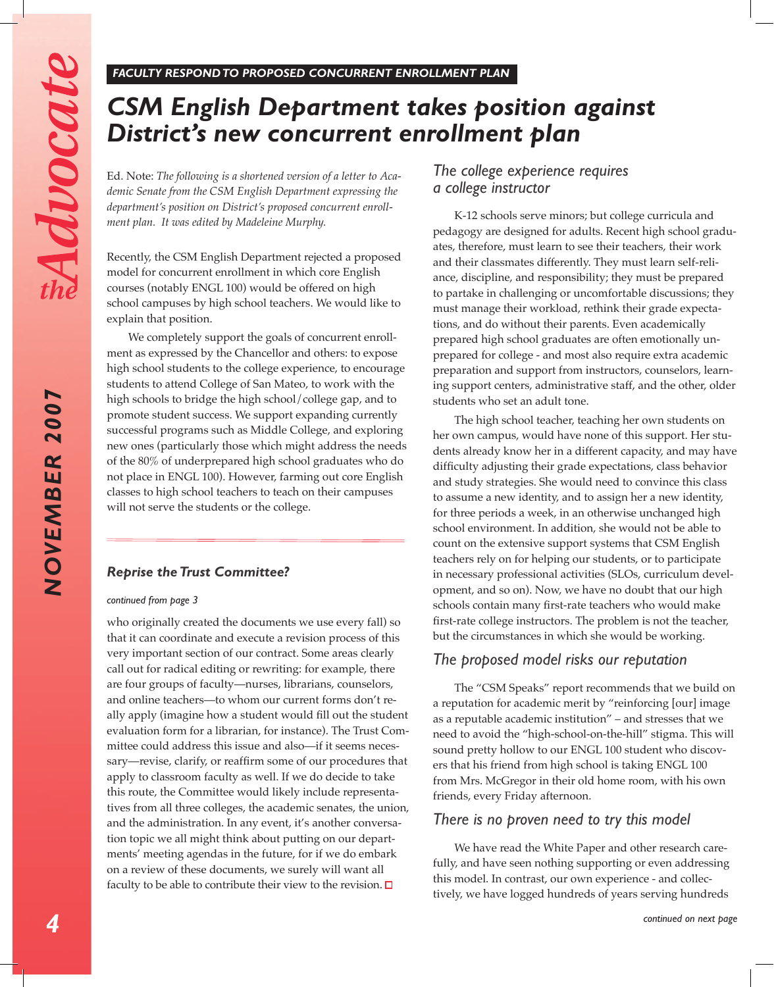NOVEMBER 2007

# *CSM English Department takes position against District's new concurrent enrollment plan*

Ed. Note: *The following is a shortened version of a letter to Academic Senate from the CSM English Department expressing the department's position on District's proposed concurrent enrollment plan. It was edited by Madeleine Murphy.*

Recently, the CSM English Department rejected a proposed model for concurrent enrollment in which core English courses (notably ENGL 100) would be offered on high school campuses by high school teachers. We would like to explain that position.

We completely support the goals of concurrent enrollment as expressed by the Chancellor and others: to expose high school students to the college experience, to encourage students to attend College of San Mateo, to work with the high schools to bridge the high school/college gap, and to promote student success. We support expanding currently successful programs such as Middle College, and exploring new ones (particularly those which might address the needs of the 80% of underprepared high school graduates who do not place in ENGL 100). However, farming out core English classes to high school teachers to teach on their campuses will not serve the students or the college.

### *Reprise the Trust Committee?*

#### *continued from page 3*

who originally created the documents we use every fall) so that it can coordinate and execute a revision process of this very important section of our contract. Some areas clearly call out for radical editing or rewriting: for example, there are four groups of faculty—nurses, librarians, counselors, and online teachers—to whom our current forms don't really apply (imagine how a student would fill out the student evaluation form for a librarian, for instance). The Trust Committee could address this issue and also—if it seems necessary—revise, clarify, or reaffirm some of our procedures that apply to classroom faculty as well. If we do decide to take this route, the Committee would likely include representatives from all three colleges, the academic senates, the union, and the administration. In any event, it's another conversation topic we all might think about putting on our departments' meeting agendas in the future, for if we do embark on a review of these documents, we surely will want all faculty to be able to contribute their view to the revision.  $\Box$ 

## *The college experience requires a college instructor*

K-12 schools serve minors; but college curricula and pedagogy are designed for adults. Recent high school graduates, therefore, must learn to see their teachers, their work and their classmates differently. They must learn self-reliance, discipline, and responsibility; they must be prepared to partake in challenging or uncomfortable discussions; they must manage their workload, rethink their grade expectations, and do without their parents. Even academically prepared high school graduates are often emotionally unprepared for college - and most also require extra academic preparation and support from instructors, counselors, learning support centers, administrative staff, and the other, older students who set an adult tone.

The high school teacher, teaching her own students on her own campus, would have none of this support. Her students already know her in a different capacity, and may have difficulty adjusting their grade expectations, class behavior and study strategies. She would need to convince this class to assume a new identity, and to assign her a new identity, for three periods a week, in an otherwise unchanged high school environment. In addition, she would not be able to count on the extensive support systems that CSM English teachers rely on for helping our students, or to participate in necessary professional activities (SLOs, curriculum development, and so on). Now, we have no doubt that our high schools contain many first-rate teachers who would make first-rate college instructors. The problem is not the teacher, but the circumstances in which she would be working.

## *The proposed model risks our reputation*

The "CSM Speaks" report recommends that we build on a reputation for academic merit by "reinforcing [our] image as a reputable academic institution" – and stresses that we need to avoid the "high-school-on-the-hill" stigma. This will sound pretty hollow to our ENGL 100 student who discovers that his friend from high school is taking ENGL 100 from Mrs. McGregor in their old home room, with his own friends, every Friday afternoon.

## *There is no proven need to try this model*

We have read the White Paper and other research carefully, and have seen nothing supporting or even addressing this model. In contrast, our own experience - and collectively, we have logged hundreds of years serving hundreds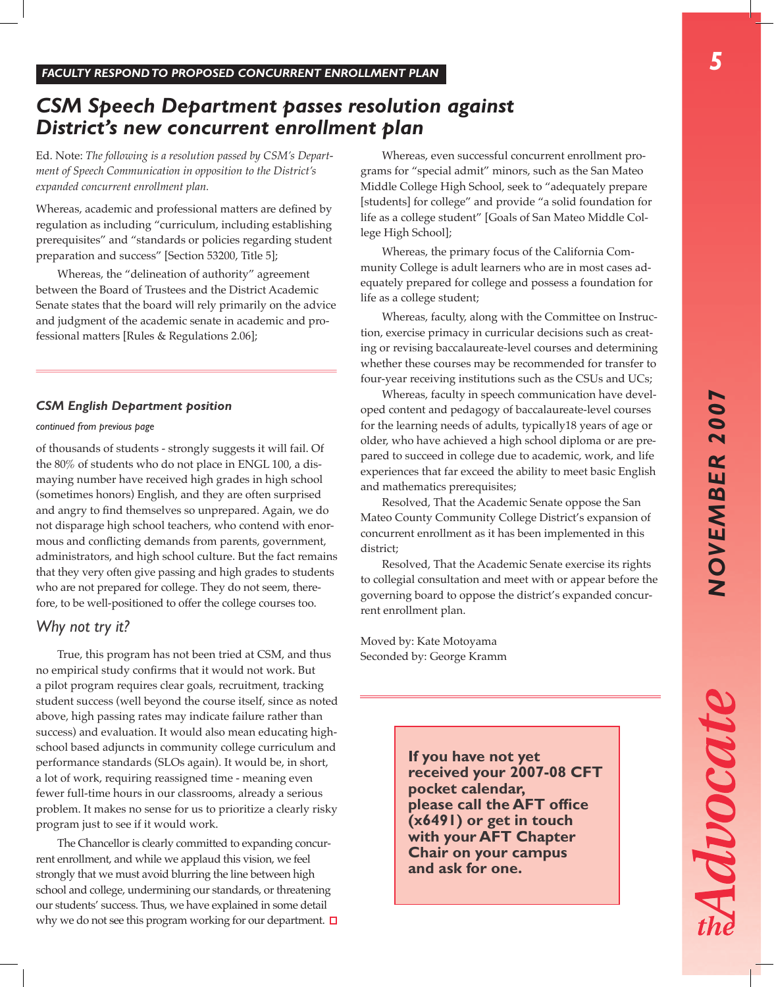Advocat

# *CSM Speech Department passes resolution against District's new concurrent enrollment plan*

Ed. Note: *The following is a resolution passed by CSM's Department of Speech Communication in opposition to the District's expanded concurrent enrollment plan.*

Whereas, academic and professional matters are defined by regulation as including "curriculum, including establishing prerequisites" and "standards or policies regarding student preparation and success" [Section 53200, Title 5];

Whereas, the "delineation of authority" agreement between the Board of Trustees and the District Academic Senate states that the board will rely primarily on the advice and judgment of the academic senate in academic and professional matters [Rules & Regulations 2.06];

#### *CSM English Department position*

#### *continued from previous page*

of thousands of students - strongly suggests it will fail. Of the 80% of students who do not place in ENGL 100, a dismaying number have received high grades in high school (sometimes honors) English, and they are often surprised and angry to find themselves so unprepared. Again, we do not disparage high school teachers, who contend with enormous and conflicting demands from parents, government, administrators, and high school culture. But the fact remains that they very often give passing and high grades to students who are not prepared for college. They do not seem, therefore, to be well-positioned to offer the college courses too.

#### *Why not try it?*

True, this program has not been tried at CSM, and thus no empirical study confirms that it would not work. But a pilot program requires clear goals, recruitment, tracking student success (well beyond the course itself, since as noted above, high passing rates may indicate failure rather than success) and evaluation. It would also mean educating highschool based adjuncts in community college curriculum and performance standards (SLOs again). It would be, in short, a lot of work, requiring reassigned time - meaning even fewer full-time hours in our classrooms, already a serious problem. It makes no sense for us to prioritize a clearly risky program just to see if it would work.

The Chancellor is clearly committed to expanding concurrent enrollment, and while we applaud this vision, we feel strongly that we must avoid blurring the line between high school and college, undermining our standards, or threatening our students' success. Thus, we have explained in some detail why we do not see this program working for our department.  $\Box$ 

Whereas, even successful concurrent enrollment programs for "special admit" minors, such as the San Mateo Middle College High School, seek to "adequately prepare [students] for college" and provide "a solid foundation for life as a college student" [Goals of San Mateo Middle College High School];

Whereas, the primary focus of the California Community College is adult learners who are in most cases adequately prepared for college and possess a foundation for life as a college student;

Whereas, faculty, along with the Committee on Instruction, exercise primacy in curricular decisions such as creating or revising baccalaureate-level courses and determining whether these courses may be recommended for transfer to four-year receiving institutions such as the CSUs and UCs;

Whereas, faculty in speech communication have developed content and pedagogy of baccalaureate-level courses for the learning needs of adults, typically18 years of age or older, who have achieved a high school diploma or are prepared to succeed in college due to academic, work, and life experiences that far exceed the ability to meet basic English and mathematics prerequisites;

Resolved, That the Academic Senate oppose the San Mateo County Community College District's expansion of concurrent enrollment as it has been implemented in this district;

Resolved, That the Academic Senate exercise its rights to collegial consultation and meet with or appear before the governing board to oppose the district's expanded concurrent enrollment plan.

Moved by: Kate Motoyama Seconded by: George Kramm

> **If you have not yet received your 2007-08 CFT pocket calendar, please call the AFT office (x6491) or get in touch with your AFT Chapter Chair on your campus and ask for one.**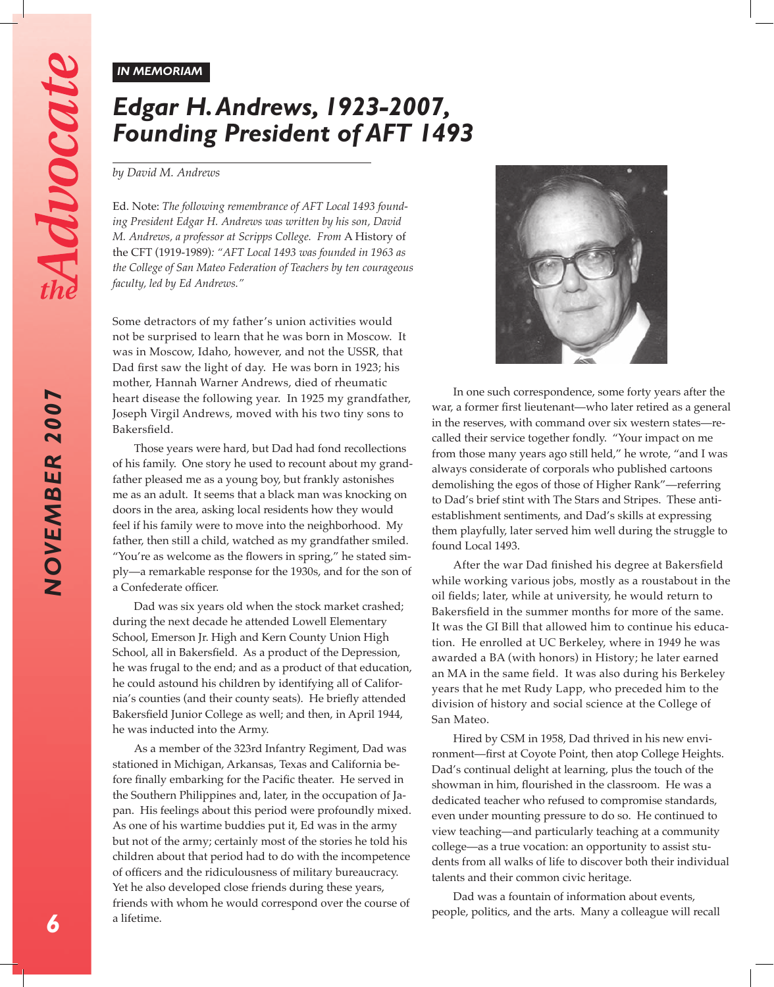NOVEMBER 2007

#### *IN MEMORIAM*

# *Edgar H. Andrews, 1923-2007, Founding President of AFT 1493*

#### *by David M. Andrews*

Ed. Note: *The following remembrance of AFT Local 1493 founding President Edgar H. Andrews was written by his son, David M. Andrews, a professor at Scripps College. From* A History of the CFT (1919-1989)*: "AFT Local 1493 was founded in 1963 as the College of San Mateo Federation of Teachers by ten courageous faculty, led by Ed Andrews."*

Some detractors of my father's union activities would not be surprised to learn that he was born in Moscow. It was in Moscow, Idaho, however, and not the USSR, that Dad first saw the light of day. He was born in 1923; his mother, Hannah Warner Andrews, died of rheumatic heart disease the following year. In 1925 my grandfather, Joseph Virgil Andrews, moved with his two tiny sons to Bakersfield.

Those years were hard, but Dad had fond recollections of his family. One story he used to recount about my grandfather pleased me as a young boy, but frankly astonishes me as an adult. It seems that a black man was knocking on doors in the area, asking local residents how they would feel if his family were to move into the neighborhood. My father, then still a child, watched as my grandfather smiled. "You're as welcome as the flowers in spring," he stated simply—a remarkable response for the 1930s, and for the son of a Confederate officer.

Dad was six years old when the stock market crashed; during the next decade he attended Lowell Elementary School, Emerson Jr. High and Kern County Union High School, all in Bakersfield. As a product of the Depression, he was frugal to the end; and as a product of that education, he could astound his children by identifying all of California's counties (and their county seats). He briefly attended Bakersfield Junior College as well; and then, in April 1944, he was inducted into the Army.

As a member of the 323rd Infantry Regiment, Dad was stationed in Michigan, Arkansas, Texas and California before finally embarking for the Pacific theater. He served in the Southern Philippines and, later, in the occupation of Japan. His feelings about this period were profoundly mixed. As one of his wartime buddies put it, Ed was in the army but not of the army; certainly most of the stories he told his children about that period had to do with the incompetence of officers and the ridiculousness of military bureaucracy. Yet he also developed close friends during these years, friends with whom he would correspond over the course of a lifetime.



In one such correspondence, some forty years after the war, a former first lieutenant—who later retired as a general in the reserves, with command over six western states—recalled their service together fondly. "Your impact on me from those many years ago still held," he wrote, "and I was always considerate of corporals who published cartoons demolishing the egos of those of Higher Rank"—referring to Dad's brief stint with The Stars and Stripes. These antiestablishment sentiments, and Dad's skills at expressing them playfully, later served him well during the struggle to found Local 1493.

After the war Dad finished his degree at Bakersfield while working various jobs, mostly as a roustabout in the oil fields; later, while at university, he would return to Bakersfield in the summer months for more of the same. It was the GI Bill that allowed him to continue his education. He enrolled at UC Berkeley, where in 1949 he was awarded a BA (with honors) in History; he later earned an MA in the same field. It was also during his Berkeley years that he met Rudy Lapp, who preceded him to the division of history and social science at the College of San Mateo.

Hired by CSM in 1958, Dad thrived in his new environment—first at Coyote Point, then atop College Heights. Dad's continual delight at learning, plus the touch of the showman in him, flourished in the classroom. He was a dedicated teacher who refused to compromise standards, even under mounting pressure to do so. He continued to view teaching—and particularly teaching at a community college—as a true vocation: an opportunity to assist students from all walks of life to discover both their individual talents and their common civic heritage.

Dad was a fountain of information about events, people, politics, and the arts. Many a colleague will recall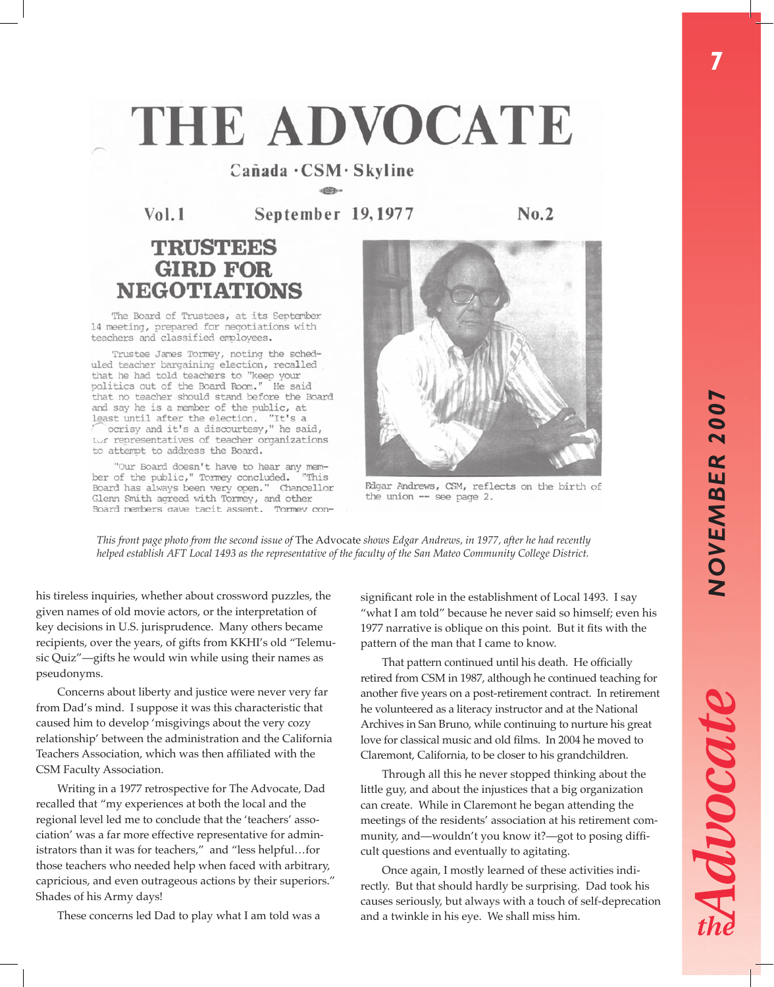# THE ADVOCATE

# $C$ añada  $\cdot$ CSM $\cdot$ Skyline

September 19, 1977  $Vol.1$ 

 $No.2$ 

# **TRUSTEES GIRD FOR NEGOTIATIONS**

The Board of Trustees, at its September 14 meeting, prepared for negotiations with teachers and classified employees.

Trustee James Tormey, noting the scheduled teacher bargaining election, recalled that he had told teachers to "keep your politics out of the Board Room." He said that no teacher should stand before the Board and say he is a member of the public, at least until after the election. "It's a ocrisy and it's a discourtesy," he said, Lur representatives of teacher organizations to attempt to address the Board.

"Our Board doesn't have to hear any member of the public," Tormey concluded. "This Board has always been very open." Chancellor Glenn Smith agreed with Tormey, and other Board members cave tacit assent. Tormev con-



Fdgar Andrews, CSM, reflects on the birth of the union  $-$  see page 2.

*This front page photo from the second issue of* The Advocate *shows Edgar Andrews, in 1977, after he had recently helped establish AFT Local 1493 as the representative of the faculty of the San Mateo Community College District.* 

his tireless inquiries, whether about crossword puzzles, the given names of old movie actors, or the interpretation of key decisions in U.S. jurisprudence. Many others became recipients, over the years, of gifts from KKHI's old "Telemusic Quiz"—gifts he would win while using their names as pseudonyms.

Concerns about liberty and justice were never very far from Dad's mind. I suppose it was this characteristic that caused him to develop 'misgivings about the very cozy relationship' between the administration and the California Teachers Association, which was then affiliated with the CSM Faculty Association.

Writing in a 1977 retrospective for The Advocate, Dad recalled that "my experiences at both the local and the regional level led me to conclude that the 'teachers' association' was a far more effective representative for administrators than it was for teachers," and "less helpful…for those teachers who needed help when faced with arbitrary, capricious, and even outrageous actions by their superiors." Shades of his Army days!

These concerns led Dad to play what I am told was a

significant role in the establishment of Local 1493. I say "what I am told" because he never said so himself; even his 1977 narrative is oblique on this point. But it fits with the pattern of the man that I came to know.

That pattern continued until his death. He officially retired from CSM in 1987, although he continued teaching for another five years on a post-retirement contract. In retirement he volunteered as a literacy instructor and at the National Archives in San Bruno, while continuing to nurture his great love for classical music and old films. In 2004 he moved to Claremont, California, to be closer to his grandchildren.

Through all this he never stopped thinking about the little guy, and about the injustices that a big organization can create. While in Claremont he began attending the meetings of the residents' association at his retirement community, and—wouldn't you know it?—got to posing difficult questions and eventually to agitating.

Once again, I mostly learned of these activities indirectly. But that should hardly be surprising. Dad took his causes seriously, but always with a touch of self-deprecation and a twinkle in his eye. We shall miss him.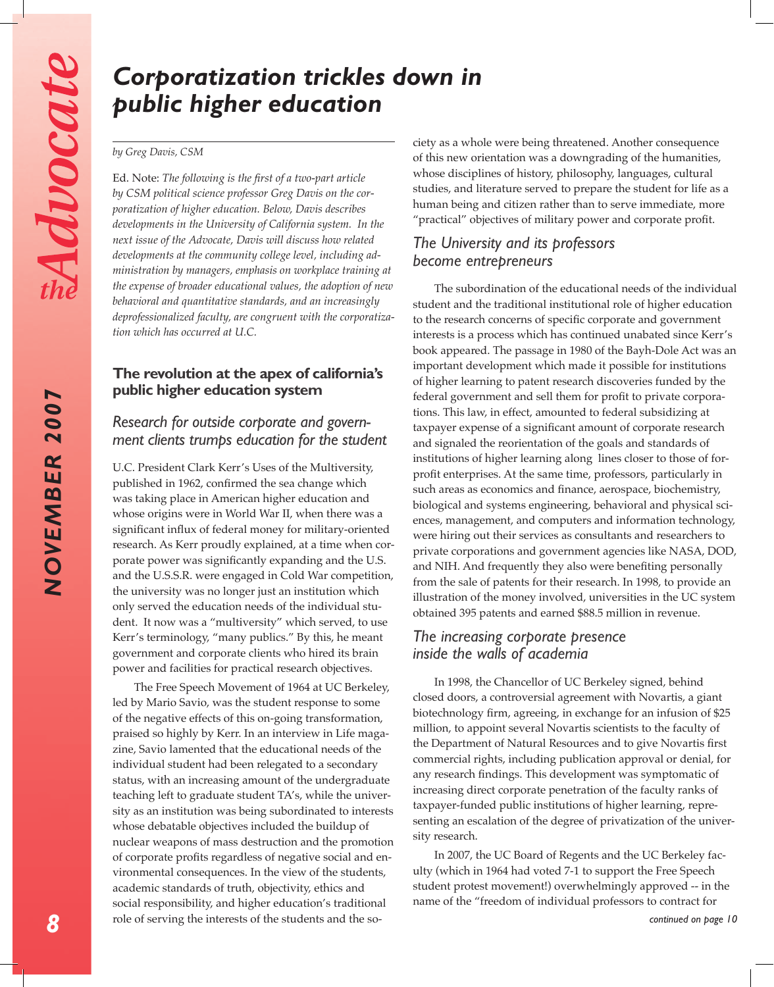**NOVEMBER 2007** 

# *Corporatization trickles down in public higher education*

#### *by Greg Davis, CSM*

Ed. Note: *The following is the first of a two-part article by CSM political science professor Greg Davis on the corporatization of higher education. Below, Davis describes developments in the University of California system. In the next issue of the Advocate, Davis will discuss how related developments at the community college level, including administration by managers, emphasis on workplace training at the expense of broader educational values, the adoption of new behavioral and quantitative standards, and an increasingly deprofessionalized faculty, are congruent with the corporatization which has occurred at U.C.*

## **The revolution at the apex of california's public higher education system**

## *Research for outside corporate and government clients trumps education for the student*

U.C. President Clark Kerr's Uses of the Multiversity, published in 1962, confirmed the sea change which was taking place in American higher education and whose origins were in World War II, when there was a significant influx of federal money for military-oriented research. As Kerr proudly explained, at a time when corporate power was significantly expanding and the U.S. and the U.S.S.R. were engaged in Cold War competition, the university was no longer just an institution which only served the education needs of the individual student. It now was a "multiversity" which served, to use Kerr's terminology, "many publics." By this, he meant government and corporate clients who hired its brain power and facilities for practical research objectives.

The Free Speech Movement of 1964 at UC Berkeley, led by Mario Savio, was the student response to some of the negative effects of this on-going transformation, praised so highly by Kerr. In an interview in Life magazine, Savio lamented that the educational needs of the individual student had been relegated to a secondary status, with an increasing amount of the undergraduate teaching left to graduate student TA's, while the university as an institution was being subordinated to interests whose debatable objectives included the buildup of nuclear weapons of mass destruction and the promotion of corporate profits regardless of negative social and environmental consequences. In the view of the students, academic standards of truth, objectivity, ethics and social responsibility, and higher education's traditional role of serving the interests of the students and the society as a whole were being threatened. Another consequence of this new orientation was a downgrading of the humanities, whose disciplines of history, philosophy, languages, cultural studies, and literature served to prepare the student for life as a human being and citizen rather than to serve immediate, more "practical" objectives of military power and corporate profit.

## *The University and its professors become entrepreneurs*

The subordination of the educational needs of the individual student and the traditional institutional role of higher education to the research concerns of specific corporate and government interests is a process which has continued unabated since Kerr's book appeared. The passage in 1980 of the Bayh-Dole Act was an important development which made it possible for institutions of higher learning to patent research discoveries funded by the federal government and sell them for profit to private corporations. This law, in effect, amounted to federal subsidizing at taxpayer expense of a significant amount of corporate research and signaled the reorientation of the goals and standards of institutions of higher learning along lines closer to those of forprofit enterprises. At the same time, professors, particularly in such areas as economics and finance, aerospace, biochemistry, biological and systems engineering, behavioral and physical sciences, management, and computers and information technology, were hiring out their services as consultants and researchers to private corporations and government agencies like NASA, DOD, and NIH. And frequently they also were benefiting personally from the sale of patents for their research. In 1998, to provide an illustration of the money involved, universities in the UC system obtained 395 patents and earned \$88.5 million in revenue.

# *The increasing corporate presence inside the walls of academia*

In 1998, the Chancellor of UC Berkeley signed, behind closed doors, a controversial agreement with Novartis, a giant biotechnology firm, agreeing, in exchange for an infusion of \$25 million, to appoint several Novartis scientists to the faculty of the Department of Natural Resources and to give Novartis first commercial rights, including publication approval or denial, for any research findings. This development was symptomatic of increasing direct corporate penetration of the faculty ranks of taxpayer-funded public institutions of higher learning, representing an escalation of the degree of privatization of the university research.

In 2007, the UC Board of Regents and the UC Berkeley faculty (which in 1964 had voted 7-1 to support the Free Speech student protest movement!) overwhelmingly approved -- in the name of the "freedom of individual professors to contract for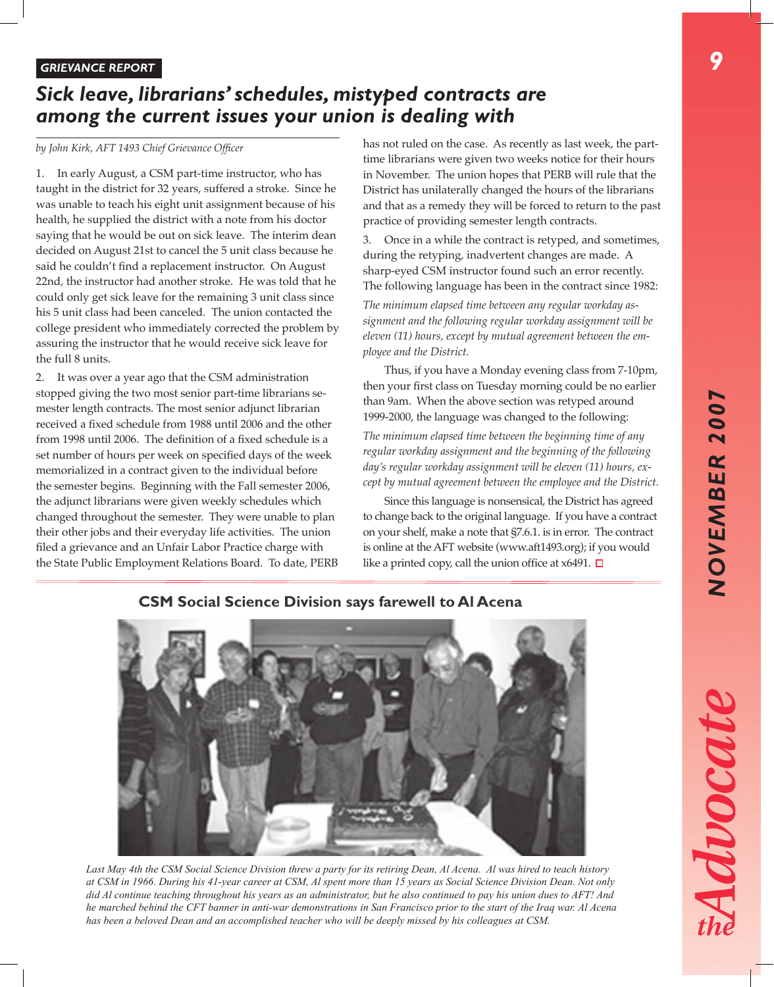*9*

#### *GRIEVANCE REPORT*

# *Sick leave, librarians' schedules, mistyped contracts are among the current issues your union is dealing with*

#### *by John Kirk, AFT 1493 Chief Grievance Officer*

1. In early August, a CSM part-time instructor, who has taught in the district for 32 years, suffered a stroke. Since he was unable to teach his eight unit assignment because of his health, he supplied the district with a note from his doctor saying that he would be out on sick leave. The interim dean decided on August 21st to cancel the 5 unit class because he said he couldn't find a replacement instructor. On August 22nd, the instructor had another stroke. He was told that he could only get sick leave for the remaining 3 unit class since his 5 unit class had been canceled. The union contacted the college president who immediately corrected the problem by assuring the instructor that he would receive sick leave for the full 8 units.

2. It was over a year ago that the CSM administration stopped giving the two most senior part-time librarians semester length contracts. The most senior adjunct librarian received a fixed schedule from 1988 until 2006 and the other from 1998 until 2006. The definition of a fixed schedule is a set number of hours per week on specified days of the week memorialized in a contract given to the individual before the semester begins. Beginning with the Fall semester 2006, the adjunct librarians were given weekly schedules which changed throughout the semester. They were unable to plan their other jobs and their everyday life activities. The union filed a grievance and an Unfair Labor Practice charge with the State Public Employment Relations Board. To date, PERB has not ruled on the case. As recently as last week, the parttime librarians were given two weeks notice for their hours in November. The union hopes that PERB will rule that the District has unilaterally changed the hours of the librarians and that as a remedy they will be forced to return to the past practice of providing semester length contracts.

3. Once in a while the contract is retyped, and sometimes, during the retyping, inadvertent changes are made. A sharp-eyed CSM instructor found such an error recently. The following language has been in the contract since 1982:

*The minimum elapsed time between any regular workday assignment and the following regular workday assignment will be eleven (11) hours, except by mutual agreement between the employee and the District.*

Thus, if you have a Monday evening class from 7-10pm, then your first class on Tuesday morning could be no earlier than 9am. When the above section was retyped around 1999-2000, the language was changed to the following:

*The minimum elapsed time between the beginning time of any regular workday assignment and the beginning of the following day's regular workday assignment will be eleven (11) hours, except by mutual agreement between the employee and the District.*

Since this language is nonsensical, the District has agreed to change back to the original language. If you have a contract on your shelf, make a note that §7.6.1. is in error. The contract is online at the AFT website (www.aft1493.org); if you would like a printed copy, call the union office at  $x6491$ .  $\Box$ 



*Last May 4th the CSM Social Science Division threw a party for its retiring Dean, Al Acena. Al was hired to teach history at CSM in 1966. During his 41-year career at CSM, Al spent more than 15 years as Social Science Division Dean. Not only did Al continue teaching throughout his years as an administrator, but he also continued to pay his union dues to AFT! And he marched behind the CFT banner in anti-war demonstrations in San Francisco prior to the start of the Iraq war. Al Acena has been a beloved Dean and an accomplished teacher who will be deeply missed by his colleagues at CSM.*

# **CSM Social Science Division says farewell to Al Acena**